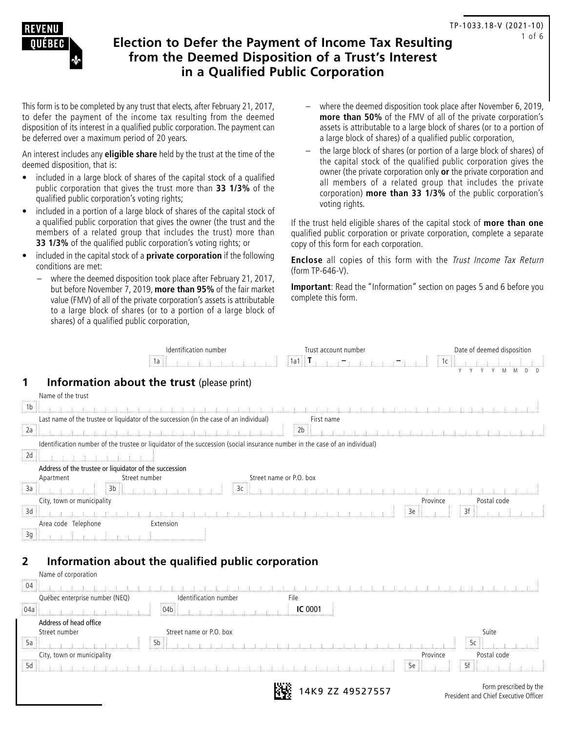

# **Election to Defer the Payment of Income Tax Resulting from the Deemed Disposition of a Trust's Interest in a Qualified Public Corporation**

This form is to be completed by any trust that elects, after February 21, 2017, to defer the payment of the income tax resulting from the deemed disposition of its interest in a qualified public corporation. The payment can be deferred over a maximum period of 20 years.

An interest includes any **eligible share** held by the trust at the time of the deemed disposition, that is:

- included in a large block of shares of the capital stock of a qualified public corporation that gives the trust more than **33 1/3%** of the qualified public corporation's voting rights;
- included in a portion of a large block of shares of the capital stock of a qualified public corporation that gives the owner (the trust and the members of a related group that includes the trust) more than **33 1/3%** of the qualified public corporation's voting rights; or
- included in the capital stock of a **private corporation** if the following conditions are met:
	- where the deemed disposition took place after February 21, 2017, but before November 7, 2019, **more than 95%** of the fair market value (FMV) of all of the private corporation's assets is attributable to a large block of shares (or to a portion of a large block of shares) of a qualified public corporation,
- where the deemed disposition took place after November 6, 2019, **more than 50%** of the FMV of all of the private corporation's assets is attributable to a large block of shares (or to a portion of a large block of shares) of a qualified public corporation,
- the large block of shares (or portion of a large block of shares) of the capital stock of the qualified public corporation gives the owner (the private corporation only **or** the private corporation and all members of a related group that includes the private corporation) **more than 33 1/3%** of the public corporation's voting rights.

If the trust held eligible shares of the capital stock of **more than one**  qualified public corporation or private corporation, complete a separate copy of this form for each corporation.

**Enclose** all copies of this form with the *Trust Income Tax Return* (form TP-646-V).

**Important**: Read the "Information" section on pages 5 and 6 before you complete this form.

|                                                                                         | Identification number                                                                                                                                                                                                                                                                                                                                                                                                          | Trust account number                                                                                                        | Date of deemed disposition                                                                                      |
|-----------------------------------------------------------------------------------------|--------------------------------------------------------------------------------------------------------------------------------------------------------------------------------------------------------------------------------------------------------------------------------------------------------------------------------------------------------------------------------------------------------------------------------|-----------------------------------------------------------------------------------------------------------------------------|-----------------------------------------------------------------------------------------------------------------|
|                                                                                         | 1a                                                                                                                                                                                                                                                                                                                                                                                                                             | $1a1$ $T$ .                                                                                                                 | $\overline{\left\lceil \frac{1}{10} \right\rceil}$                                                              |
|                                                                                         |                                                                                                                                                                                                                                                                                                                                                                                                                                |                                                                                                                             | M                                                                                                               |
|                                                                                         | Information about the trust (please print)                                                                                                                                                                                                                                                                                                                                                                                     |                                                                                                                             |                                                                                                                 |
| Name of the trust                                                                       |                                                                                                                                                                                                                                                                                                                                                                                                                                |                                                                                                                             |                                                                                                                 |
| <br>1 <sub>b</sub>                                                                      |                                                                                                                                                                                                                                                                                                                                                                                                                                | <u>t an de talent de talent de talent de talent de talent de talent de talent de talent de talent de talent de t</u>        |                                                                                                                 |
| Last name of the trustee or liquidator of the succession (in the case of an individual) |                                                                                                                                                                                                                                                                                                                                                                                                                                | First name                                                                                                                  |                                                                                                                 |
| 2a                                                                                      | $\begin{minipage}[c]{0.9\textwidth} \centering \begin{tabular}{lccccccc} \textbf{1} & \textbf{2} & \textbf{3} & \textbf{4} & \textbf{5} & \textbf{6} & \textbf{7} & \textbf{8} & \textbf{9} & \textbf{10} & \textbf{11} & \textbf{12} & \textbf{13} & \textbf{14} & \textbf{15} & \textbf{17} & \textbf{18} & \textbf{19} & \textbf{19} & \textbf{19} & \textbf{10} & \textbf{10} & \textbf{10} & \textbf{10} & \textbf{10} &$ | $\frac{1}{2}$ 2b                                                                                                            | The contract of the contract of the contract of the contract of the contract of the contract of the contract of |
|                                                                                         |                                                                                                                                                                                                                                                                                                                                                                                                                                | Identification number of the trustee or liquidator of the succession (social insurance number in the case of an individual) |                                                                                                                 |
| 2d<br>a car a car a car a c                                                             |                                                                                                                                                                                                                                                                                                                                                                                                                                |                                                                                                                             |                                                                                                                 |
| Address of the trustee or liquidator of the succession                                  |                                                                                                                                                                                                                                                                                                                                                                                                                                |                                                                                                                             |                                                                                                                 |
| Apartment                                                                               |                                                                                                                                                                                                                                                                                                                                                                                                                                | Street name or P.O. box                                                                                                     |                                                                                                                 |
| Street number<br>$3b$<br><b>EXITE</b><br>: За                                           | $\sqrt{3c}$                                                                                                                                                                                                                                                                                                                                                                                                                    |                                                                                                                             |                                                                                                                 |
| City, town or municipality<br>.                                                         |                                                                                                                                                                                                                                                                                                                                                                                                                                |                                                                                                                             | Postal code<br>Province<br>$\mathbf{p}$ $\mathbf{p}$                                                            |
| 3d                                                                                      |                                                                                                                                                                                                                                                                                                                                                                                                                                |                                                                                                                             | 3e<br>3f                                                                                                        |
| Area code Telephone                                                                     | Extension                                                                                                                                                                                                                                                                                                                                                                                                                      |                                                                                                                             |                                                                                                                 |
| .<br>3g                                                                                 |                                                                                                                                                                                                                                                                                                                                                                                                                                |                                                                                                                             |                                                                                                                 |
|                                                                                         |                                                                                                                                                                                                                                                                                                                                                                                                                                |                                                                                                                             |                                                                                                                 |
|                                                                                         | Information about the qualified public corporation                                                                                                                                                                                                                                                                                                                                                                             |                                                                                                                             |                                                                                                                 |

|                                             | <b>INTERNATION AND ACTIVE SHARIFICA PANILLE COLPORATOR</b> |                  |                                                                 |
|---------------------------------------------|------------------------------------------------------------|------------------|-----------------------------------------------------------------|
| Name of corporation<br>                     |                                                            |                  |                                                                 |
| $\frac{1}{2}$ 04                            |                                                            |                  |                                                                 |
| Québec enterprise number (NEQ)<br>,,,,,,,,, | Identification number<br>                                  | File             |                                                                 |
| :04a                                        |                                                            | <b>IC 0001</b>   |                                                                 |
| Address of head office                      |                                                            |                  |                                                                 |
| Street number<br>,,,,,,,,                   | Street name or P.O. box<br>                                |                  | Suite<br>.                                                      |
| 5a                                          |                                                            |                  |                                                                 |
| City, town or municipality                  |                                                            |                  | Province<br>Postal code<br>.<br>                                |
| .<br>5d                                     |                                                            |                  | $\pm$ 5e $\pm$                                                  |
|                                             |                                                            | 14K9 ZZ 49527557 | Form prescribed by the<br>President and Chief Executive Officer |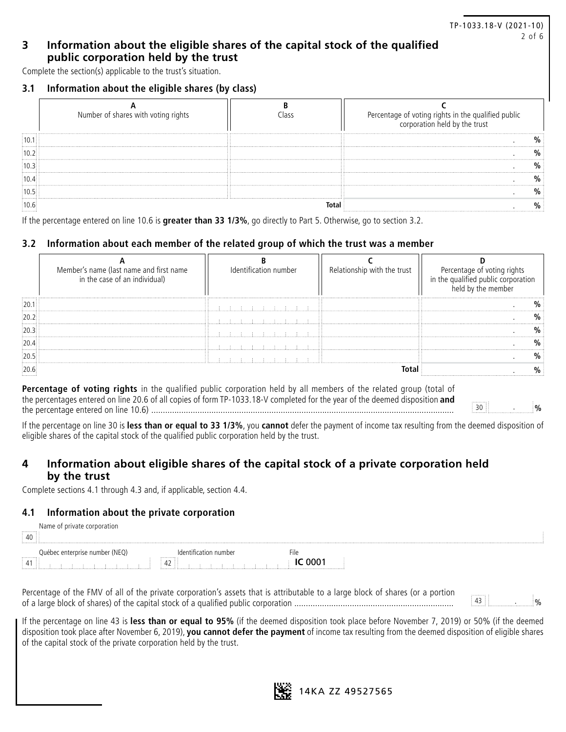## **3 Information about the eligible shares of the capital stock of the qualified public corporation held by the trust**

Complete the section(s) applicable to the trust's situation.

### **3.1 Information about the eligible shares (by class)**

| Number of shares with voting rights | Percentage of voting rights in the qualified public<br>corporation held by the trust |
|-------------------------------------|--------------------------------------------------------------------------------------|
|                                     |                                                                                      |
|                                     |                                                                                      |
|                                     |                                                                                      |
|                                     |                                                                                      |
|                                     |                                                                                      |
|                                     |                                                                                      |

TP-1033.18-V (2021-10)

2 of 6

If the percentage entered on line 10.6 is **greater than 33 1/3%**, go directly to Part 5. Otherwise, go to section 3.2.

# **3.2 Information about each member of the related group of which the trust was a member**

| Member's name (last name and first name<br>in the case of an individual) | Identification number | Relationship with the trust | Percentage of voting rights<br>in the qualified public corporati |
|--------------------------------------------------------------------------|-----------------------|-----------------------------|------------------------------------------------------------------|
|                                                                          |                       |                             |                                                                  |
|                                                                          |                       |                             |                                                                  |
|                                                                          |                       |                             |                                                                  |
|                                                                          |                       |                             |                                                                  |
|                                                                          |                       |                             |                                                                  |
|                                                                          |                       |                             |                                                                  |
|                                                                          |                       | $\cdots$<br>.               |                                                                  |

**Percentage of voting rights** in the qualified public corporation held by all members of the related group (total of the percentages entered on line 20.6 of all copies of form TP-1033.18-V completed for the year of the deemed disposition **and** the percentage entered on line 10.6) ................................................................................................................................... <sup>30</sup> . **%**

If the percentage on line 30 is **less than or equal to 33 1/3%**, you **cannot** defer the payment of income tax resulting from the deemed disposition of eligible shares of the capital stock of the qualified public corporation held by the trust.

# **4 Information about eligible shares of the capital stock of a private corporation held by the trust**

Complete sections 4.1 through 4.3 and, if applicable, section 4.4.

### **4.1 Information about the private corporation**

| 40                                           | private corporation<br>Name         |                                                                                    |   |
|----------------------------------------------|-------------------------------------|------------------------------------------------------------------------------------|---|
| .<br><br>$\frac{1}{2}$ 41 $\frac{1}{2}$<br>. | : enterprise number (NEQ)<br>Juebec | umber<br>,,,,,,,,,<br>$\sim$<br>$\cdots$<br>$\cdots$<br>44 Z<br>$\cdots$<br>.<br>. | . |

Percentage of the FMV of all of the private corporation's assets that is attributable to a large block of shares (or a portion of a large block of shares) of the capital stock of a qualified public corporation ..................................................................... <sup>43</sup> . %

If the percentage on line 43 is **less than or equal to 95%** (if the deemed disposition took place before November 7, 2019) or 50% (if the deemed disposition took place after November 6, 2019), **you cannot defer the payment** of income tax resulting from the deemed disposition of eligible shares of the capital stock of the private corporation held by the trust.

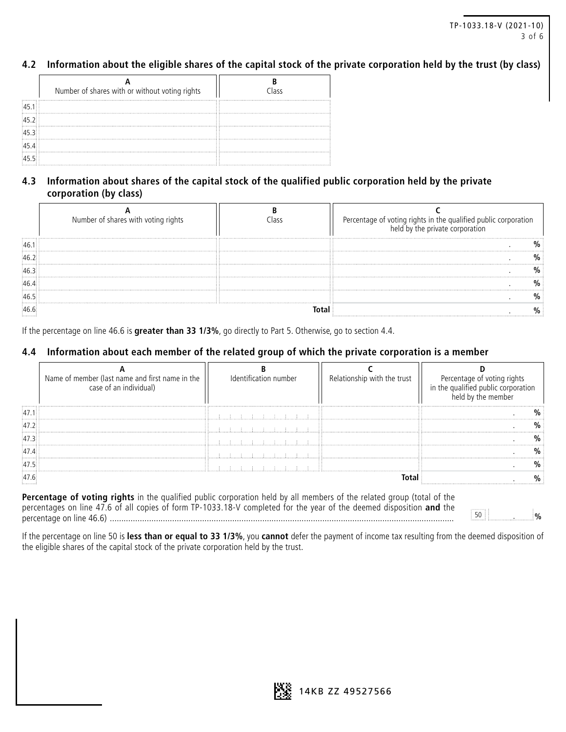# **4.2 Information about the eligible shares of the capital stock of the private corporation held by the trust (by class)**

|                                                | Number of shares with or without voting rights | Class |
|------------------------------------------------|------------------------------------------------|-------|
| 45.1                                           |                                                |       |
| $\begin{array}{c} 1 & 1 \\ 45 & 2 \end{array}$ |                                                |       |
| 45.3                                           |                                                |       |
| 45.4                                           |                                                |       |
| .<br>:45.5 : .                                 |                                                |       |

# **4.3 Information about shares of the capital stock of the qualified public corporation held by the private corporation (by class)**

| Number of shares with voting rights | Percentage of voting rights in the qualified public cor<br>held by the private corporation |
|-------------------------------------|--------------------------------------------------------------------------------------------|
|                                     |                                                                                            |
|                                     |                                                                                            |
|                                     |                                                                                            |
|                                     |                                                                                            |
|                                     |                                                                                            |
|                                     |                                                                                            |

If the percentage on line 46.6 is **greater than 33 1/3%**, go directly to Part 5. Otherwise, go to section 4.4.

### **4.4 Information about each member of the related group of which the private corporation is a member**

| Name of member (last name and first name in the<br>case of an individual) | Relationship with the trust | Percentage of voting right<br>in the qualified public corpora |
|---------------------------------------------------------------------------|-----------------------------|---------------------------------------------------------------|
|                                                                           |                             |                                                               |
|                                                                           |                             |                                                               |
|                                                                           |                             |                                                               |
|                                                                           |                             |                                                               |
|                                                                           |                             |                                                               |
|                                                                           |                             |                                                               |

**Percentage of voting rights** in the qualified public corporation held by all members of the related group (total of the percentages on line 47.6 of all copies of form TP-1033.18-V completed for the year of the deemed disposition **and** the percentage on line 46.6) ..................................................................................................................................................... <sup>50</sup> . **%**

If the percentage on line 50 is **less than or equal to 33 1/3%**, you **cannot** defer the payment of income tax resulting from the deemed disposition of the eligible shares of the capital stock of the private corporation held by the trust.

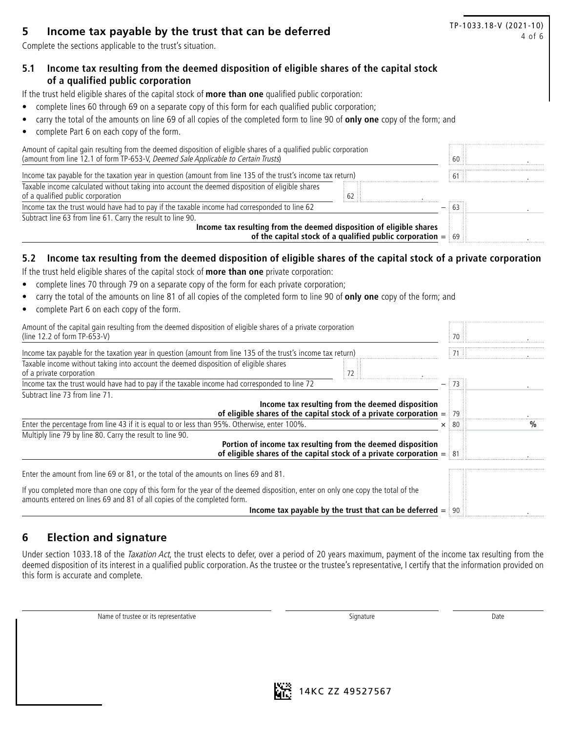# **5 Income tax payable by the trust that can be deferred 11 of 6 11 of 6 10 <b>1** a 6 **6**

Complete the sections applicable to the trust's situation.

# TP-1033.18-V (2021-10)

# **5.1 Income tax resulting from the deemed disposition of eligible shares of the capital stock of a qualified public corporation**

If the trust held eligible shares of the capital stock of **more than one** qualified public corporation:

- complete lines 60 through 69 on a separate copy of this form for each qualified public corporation;
- carry the total of the amounts on line 69 of all copies of the completed form to line 90 of **only one** copy of the form; and
- complete Part 6 on each copy of the form.

| Amount of capital gain resulting from the deemed disposition of eligible shares of a qualified public corporation<br>(amount from line 12.1 of form TP-653-V, Deemed Sale Applicable to Certain Trusts) | 60 H   |
|---------------------------------------------------------------------------------------------------------------------------------------------------------------------------------------------------------|--------|
| Income tax payable for the taxation year in question (amount from line 135 of the trust's income tax return)                                                                                            | $61$ : |
| Taxable income calculated without taking into account the deemed disposition of eligible shares<br>of a qualified public corporation<br>62 ::                                                           |        |
| Income tax the trust would have had to pay if the taxable income had corresponded to line 62                                                                                                            |        |
| Subtract line 63 from line 61. Carry the result to line 90.                                                                                                                                             |        |
| Income tax resulting from the deemed disposition of eligible shares<br>of the capital stock of a qualified public corporation $=$ 69                                                                    |        |

# **5.2 Income tax resulting from the deemed disposition of eligible shares of the capital stock of a private corporation**

If the trust held eligible shares of the capital stock of **more than one** private corporation:

- complete lines 70 through 79 on a separate copy of the form for each private corporation;
- carry the total of the amounts on line 81 of all copies of the completed form to line 90 of **only one** copy of the form; and
- complete Part 6 on each copy of the form.

| Amount of the capital gain resulting from the deemed disposition of eligible shares of a private corporation<br>(line 12.2 of form $TP-653-V$ )                                                             |               |  |
|-------------------------------------------------------------------------------------------------------------------------------------------------------------------------------------------------------------|---------------|--|
| Income tax payable for the taxation year in question (amount from line 135 of the trust's income tax return)                                                                                                |               |  |
| Taxable income without taking into account the deemed disposition of eligible shares<br>of a private corporation                                                                                            |               |  |
| Income tax the trust would have had to pay if the taxable income had corresponded to line 72                                                                                                                |               |  |
| Subtract line 73 from line 71.                                                                                                                                                                              |               |  |
| Income tax resulting from the deemed disposition<br>of eligible shares of the capital stock of a private corporation $=$ 79                                                                                 |               |  |
| Enter the percentage from line 43 if it is equal to or less than 95%. Otherwise, enter 100%.                                                                                                                | $\times$ : 80 |  |
| Multiply line 79 by line 80. Carry the result to line 90.                                                                                                                                                   |               |  |
| Portion of income tax resulting from the deemed disposition<br>of eligible shares of the capital stock of a private corporation $=$ 81                                                                      |               |  |
| Enter the amount from line 69 or 81, or the total of the amounts on lines 69 and 81.                                                                                                                        |               |  |
| If you completed more than one copy of this form for the year of the deemed disposition, enter on only one copy the total of the<br>amounts entered on lines 69 and 81 of all copies of the completed form. |               |  |
| Income tax payable by the trust that can be deferred $=$ 90                                                                                                                                                 |               |  |

# **6 Election and signature**

Under section 1033.18 of the Taxation Act, the trust elects to defer, over a period of 20 years maximum, payment of the income tax resulting from the deemed disposition of its interest in a qualified public corporation. As the trustee or the trustee's representative, I certify that the information provided on this form is accurate and complete.

Name of trustee or its representative Signature Signature Signature Signature Date

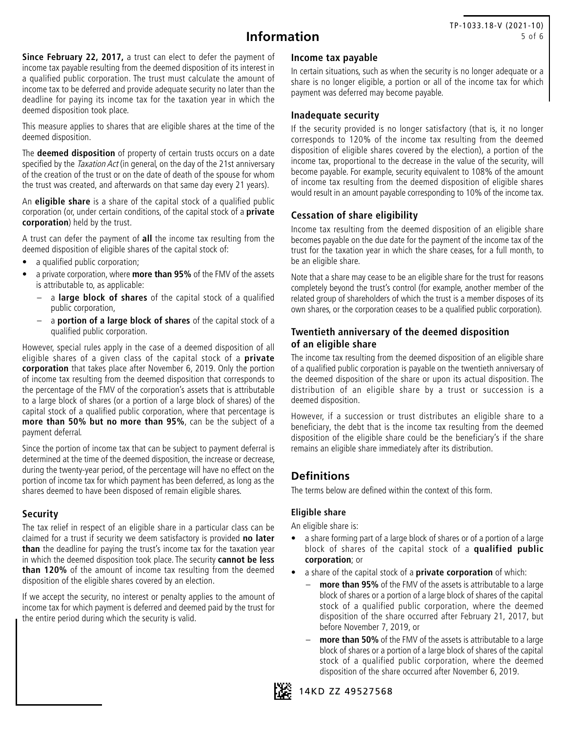# **Information**

**Since February 22, 2017,** a trust can elect to defer the payment of income tax payable resulting from the deemed disposition of its interest in a qualified public corporation. The trust must calculate the amount of income tax to be deferred and provide adequate security no later than the deadline for paying its income tax for the taxation year in which the deemed disposition took place.

This measure applies to shares that are eligible shares at the time of the deemed disposition.

The **deemed disposition** of property of certain trusts occurs on a date specified by the *Taxation Act* (in general, on the day of the 21st anniversary of the creation of the trust or on the date of death of the spouse for whom the trust was created, and afterwards on that same day every 21 years).

An **eligible share** is a share of the capital stock of a qualified public corporation (or, under certain conditions, of the capital stock of a **private corporation**) held by the trust.

A trust can defer the payment of **all** the income tax resulting from the deemed disposition of eligible shares of the capital stock of:

- a qualified public corporation;
- a private corporation, where **more than 95%** of the FMV of the assets is attributable to, as applicable:
	- a **large block of shares** of the capital stock of a qualified public corporation,
	- a **portion of a large block of shares** of the capital stock of a qualified public corporation.

However, special rules apply in the case of a deemed disposition of all eligible shares of a given class of the capital stock of a **private corporation** that takes place after November 6, 2019. Only the portion of income tax resulting from the deemed disposition that corresponds to the percentage of the FMV of the corporation's assets that is attributable to a large block of shares (or a portion of a large block of shares) of the capital stock of a qualified public corporation, where that percentage is **more than 50% but no more than 95%**, can be the subject of a payment deferral.

Since the portion of income tax that can be subject to payment deferral is determined at the time of the deemed disposition, the increase or decrease, during the twenty-year period, of the percentage will have no effect on the portion of income tax for which payment has been deferred, as long as the shares deemed to have been disposed of remain eligible shares.

### **Security**

The tax relief in respect of an eligible share in a particular class can be claimed for a trust if security we deem satisfactory is provided **no later than** the deadline for paying the trust's income tax for the taxation year in which the deemed disposition took place. The security **cannot be less than 120%** of the amount of income tax resulting from the deemed disposition of the eligible shares covered by an election.

If we accept the security, no interest or penalty applies to the amount of income tax for which payment is deferred and deemed paid by the trust for the entire period during which the security is valid.

#### **Income tax payable**

In certain situations, such as when the security is no longer adequate or a share is no longer eligible, a portion or all of the income tax for which payment was deferred may become payable.

### **Inadequate security**

If the security provided is no longer satisfactory (that is, it no longer corresponds to 120% of the income tax resulting from the deemed disposition of eligible shares covered by the election), a portion of the income tax, proportional to the decrease in the value of the security, will become payable. For example, security equivalent to 108% of the amount of income tax resulting from the deemed disposition of eligible shares would result in an amount payable corresponding to 10% of the income tax.

### **Cessation of share eligibility**

Income tax resulting from the deemed disposition of an eligible share becomes payable on the due date for the payment of the income tax of the trust for the taxation year in which the share ceases, for a full month, to be an eligible share.

Note that a share may cease to be an eligible share for the trust for reasons completely beyond the trust's control (for example, another member of the related group of shareholders of which the trust is a member disposes of its own shares, or the corporation ceases to be a qualified public corporation).

### **Twentieth anniversary of the deemed disposition of an eligible share**

The income tax resulting from the deemed disposition of an eligible share of a qualified public corporation is payable on the twentieth anniversary of the deemed disposition of the share or upon its actual disposition. The distribution of an eligible share by a trust or succession is a deemed disposition.

However, if a succession or trust distributes an eligible share to a beneficiary, the debt that is the income tax resulting from the deemed disposition of the eligible share could be the beneficiary's if the share remains an eligible share immediately after its distribution.

# **Definitions**

The terms below are defined within the context of this form.

#### **Eligible share**

An eligible share is:

- a share forming part of a large block of shares or of a portion of a large block of shares of the capital stock of a **qualified public corporation**; or
- a share of the capital stock of a **private corporation** of which:
	- **more than 95%** of the FMV of the assets is attributable to a large block of shares or a portion of a large block of shares of the capital stock of a qualified public corporation, where the deemed disposition of the share occurred after February 21, 2017, but before November 7, 2019, or
	- more than 50% of the FMV of the assets is attributable to a large block of shares or a portion of a large block of shares of the capital stock of a qualified public corporation, where the deemed disposition of the share occurred after November 6, 2019.



14KD ZZ 49527568